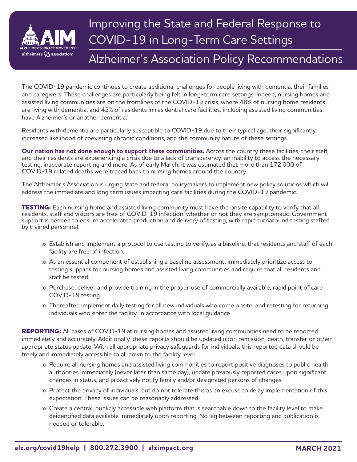

## Improving the State and Federal Response to COVID-19 in Long-Term Care Settings

## Alzheimer's Association Policy Recommendations

The COVID-19 pandemic continues to create additional challenges for people living with dementia, their families and caregivers. These challenges are particularly being felt in long-term care settings. Indeed, nursing homes and assisted living communities are on the frontlines of the COVID-19 crisis, where 48% of nursing home residents are living with dementia, and 42% of residents in residential care facilities, including assisted living communities, have Alzheimer's or another dementia.

Residents with dementia are particularly susceptible to COVID-19 due to their typical age, their significantly increased likelihood of coexisting chronic conditions, and the community nature of these settings.

**Our nation has not done enough to support these communities.** Across the country these facilities, their staff, and their residents are experiencing a crisis due to a lack of transparency, an inability to access the necessary testing, inaccurate reporting and more. As of early March, it was estimated that more than 172,000 of COVID-19 related deaths were traced back to nursing homes around the country.

The Alzheimer's Association is urging state and federal policymakers to implement new policy solutions which will address the immediate and long term issues impacting care facilities during the COVID-19 pandemic.

**TESTING:** Each nursing home and assisted living community must have the onsite capability to verify that all residents, staff and visitors are free of COVID-19 infection, whether or not they are symptomatic. Government support is needed to ensure accelerated production and delivery of testing, with rapid turnaround testing staffed by trained personnel.

- **»** Establish and implement a protocol to use testing to verify, as a baseline, that residents and staff of each facility are free of infection.
- **»** As an essential component of establishing a baseline assessment, immediately prioritize access to testing supplies for nursing homes and assisted living communities and require that all residents and staff be tested.
- **»** Purchase, deliver and provide training in the proper use of commercially available, rapid point of care COVID-19 testing.
- **»** Thereafter, implement daily testing for all new individuals who come onsite, and retesting for returning individuals who enter the facility, in accordance with local guidance.

**REPORTING:** All cases of COVID-19 at nursing homes and assisted living communities need to be reported immediately and accurately. Additionally, these reports should be updated upon remission, death, transfer or other appropriate status update. With all appropriate privacy safeguards for individuals, this reported data should be freely and immediately accessible to all down to the facility level.

- **»** Require all nursing homes and assisted living communities to report positive diagnoses to public health authorities immediately (never later than same day), update previously reported cases upon significant changes in status, and proactively notify family and/or designated persons of changes.
- **»** Protect the privacy of individuals, but do not tolerate this as an excuse to delay implementation of this expectation. These issues can be reasonably addressed.
- **»** Create a central, publicly accessible web platform that is searchable down to the facility level to make deidentified data available immediately upon reporting. No lag between reporting and publication is needed or tolerable.